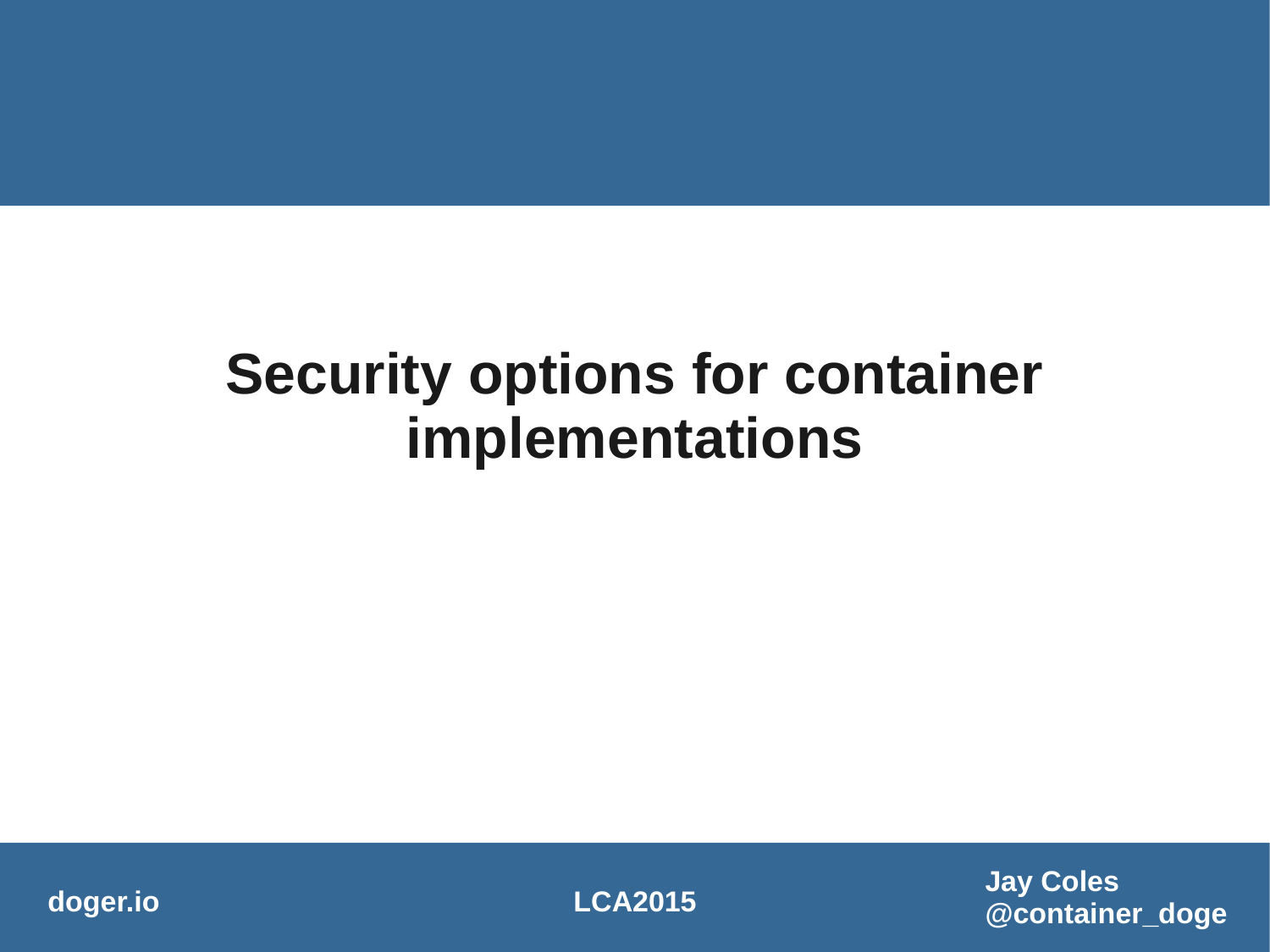#### **Security options for container implementations**

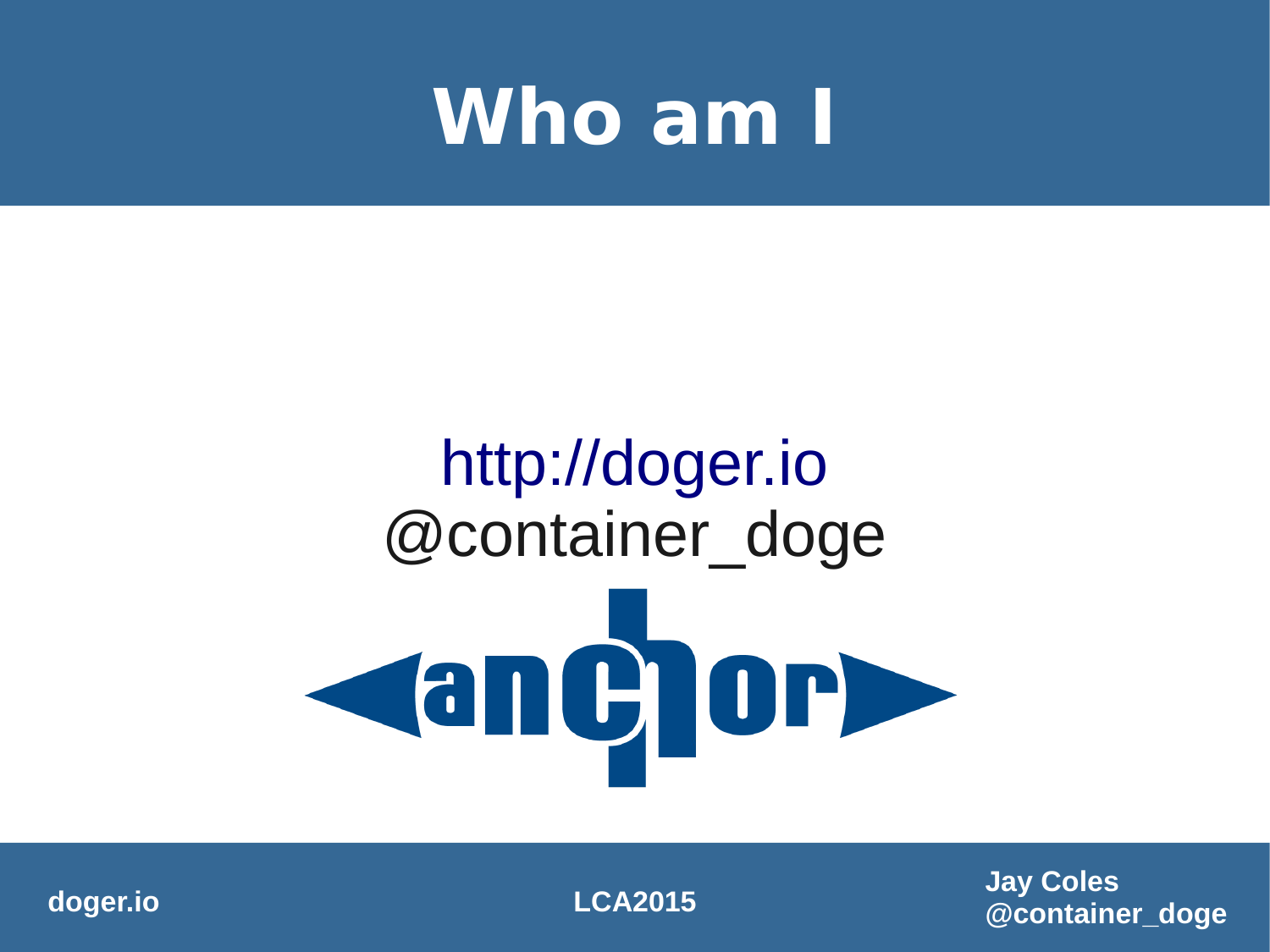#### **Who am I**

# [http://doger.io](http://doger.io/) @container\_doge Canchor

**doger.io LCA2015**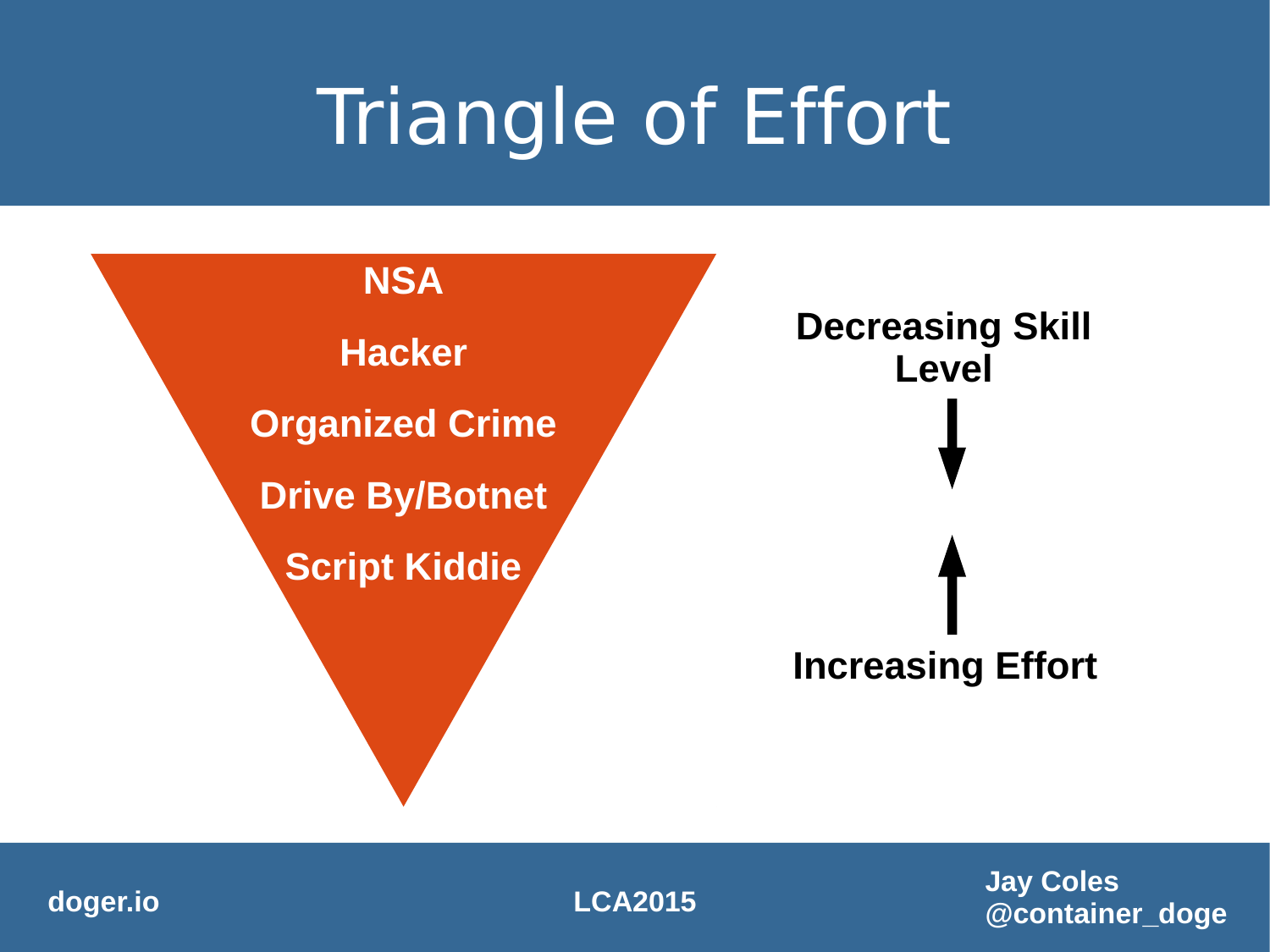### Triangle of Effort



**doger.io LCA2015**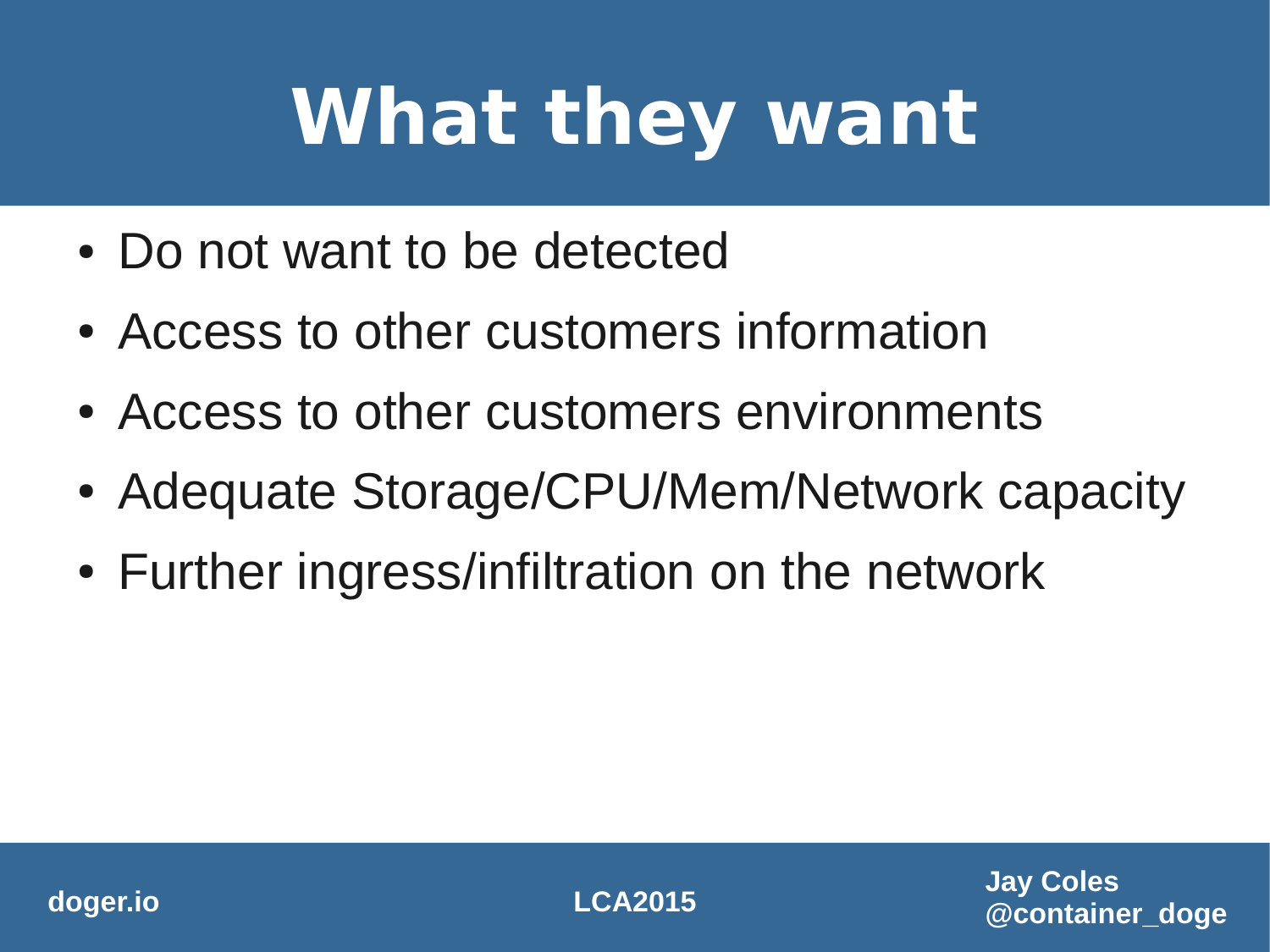# **What they want**

- Do not want to be detected
- Access to other customers information
- Access to other customers environments
- Adequate Storage/CPU/Mem/Network capacity
- Further ingress/infiltration on the network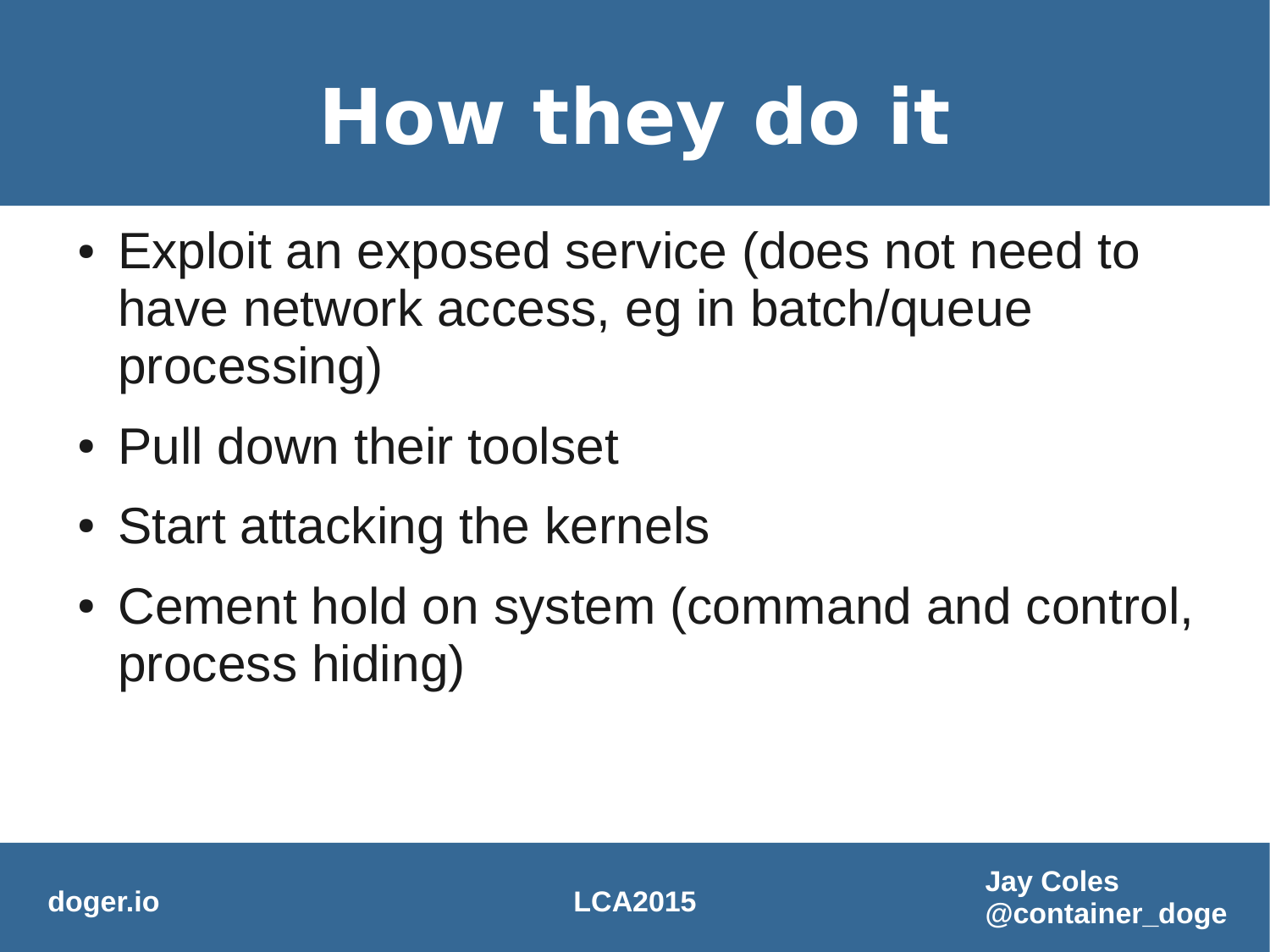# **How they do it**

- Exploit an exposed service (does not need to have network access, eg in batch/queue processing)
- Pull down their toolset
- Start attacking the kernels
- Cement hold on system (command and control, process hiding)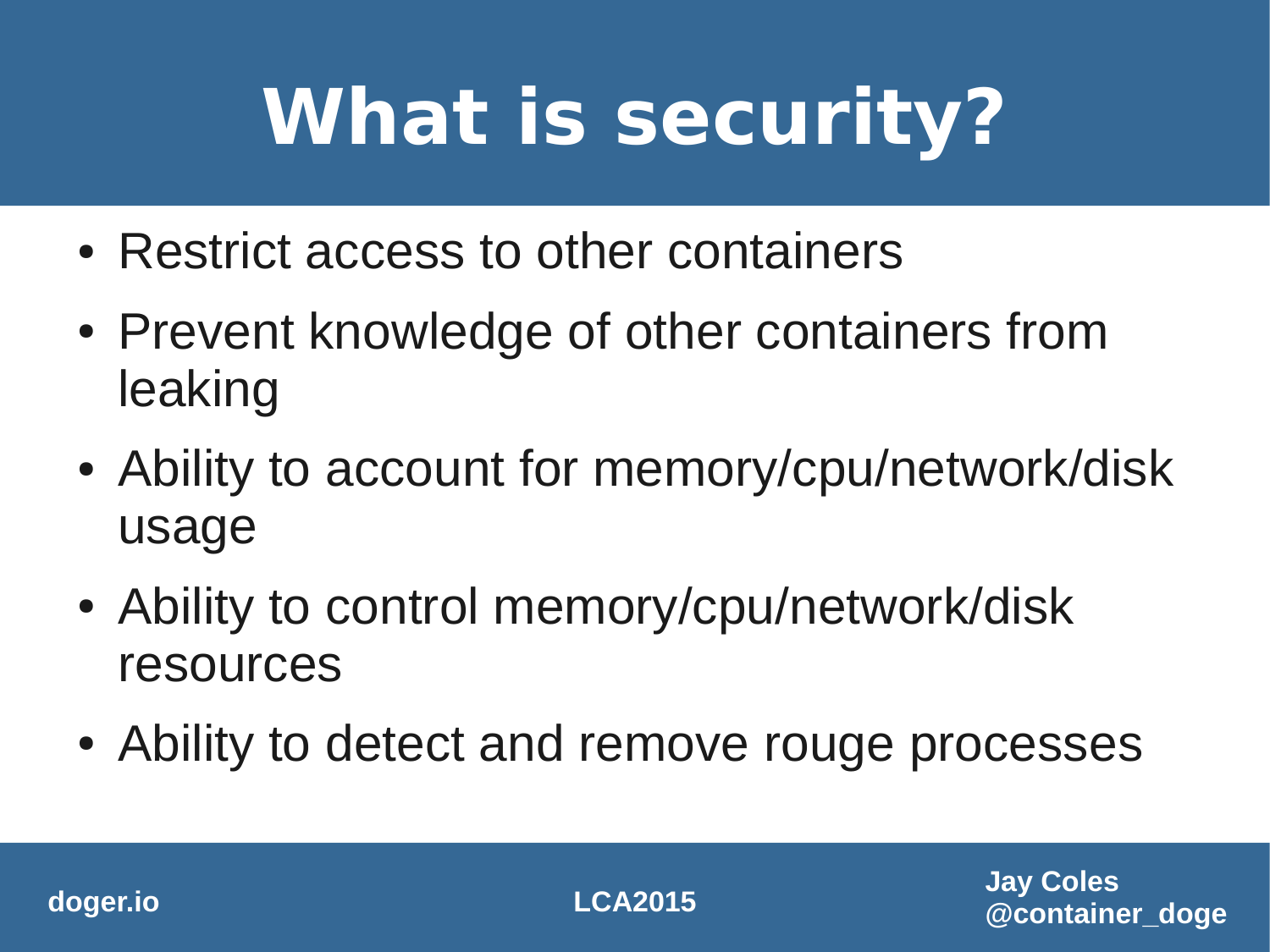# **What is security?**

- Restrict access to other containers
- Prevent knowledge of other containers from leaking
- Ability to account for memory/cpu/network/disk usage
- Ability to control memory/cpu/network/disk resources
- Ability to detect and remove rouge processes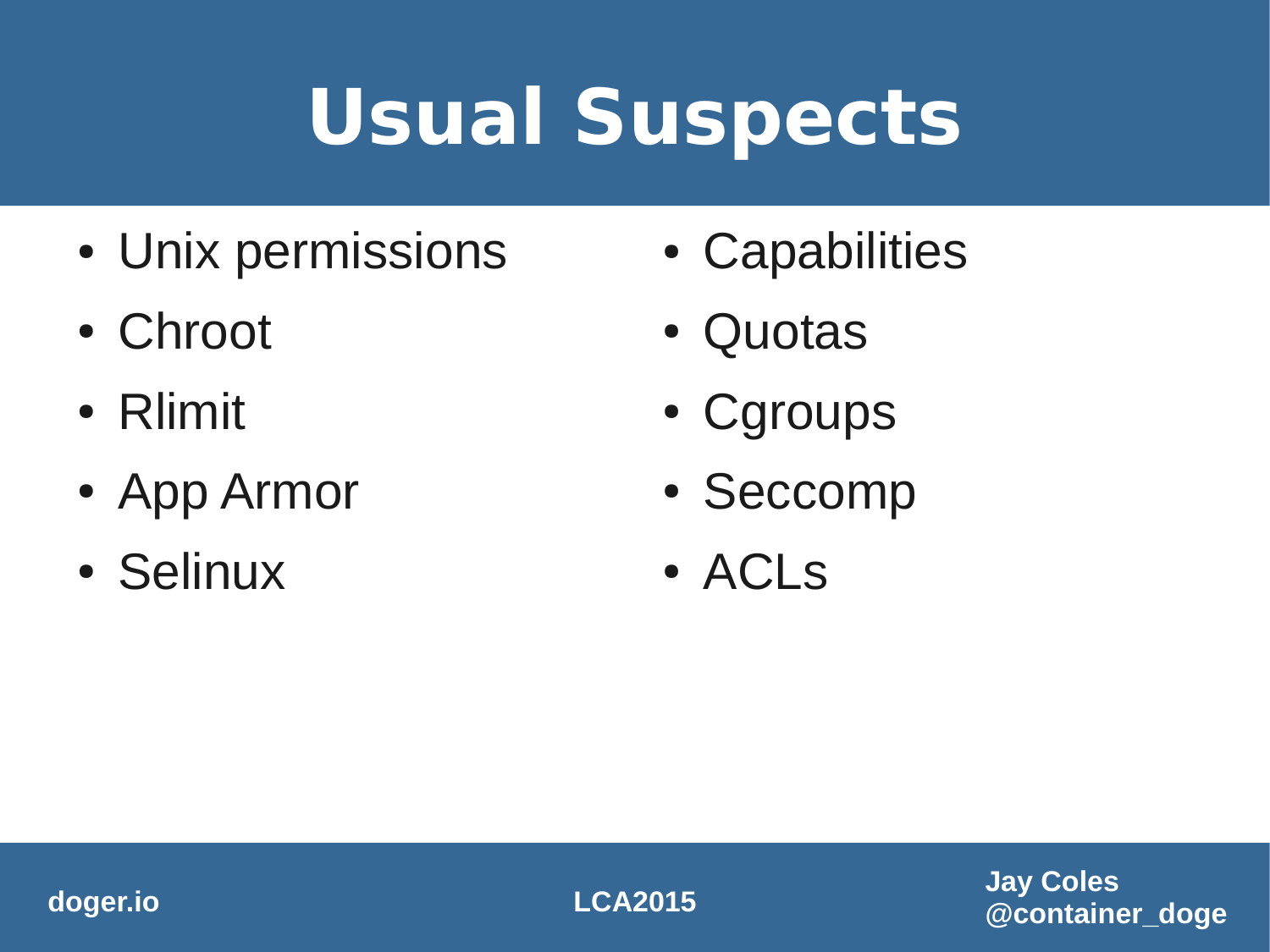# **Usual Suspects**

- Unix permissions
- Chroot
- Rlimit
- App Armor
- Selinux
- Capabilities
- Quotas
- Cgroups
- Seccomp
- ACLS

**doger.io LCA2015**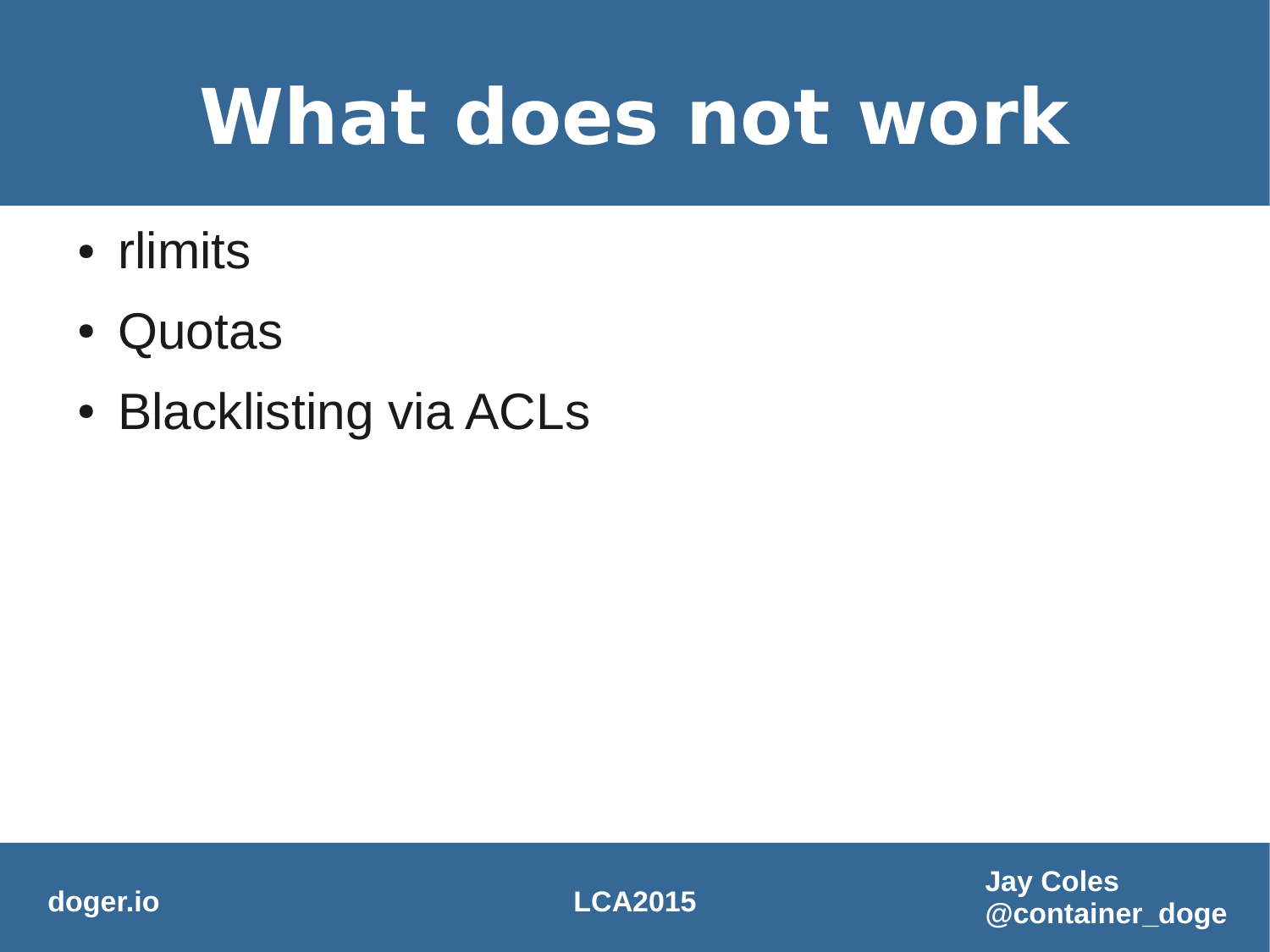#### **What does not work**

- rlimits
- Quotas
- Blacklisting via ACLs

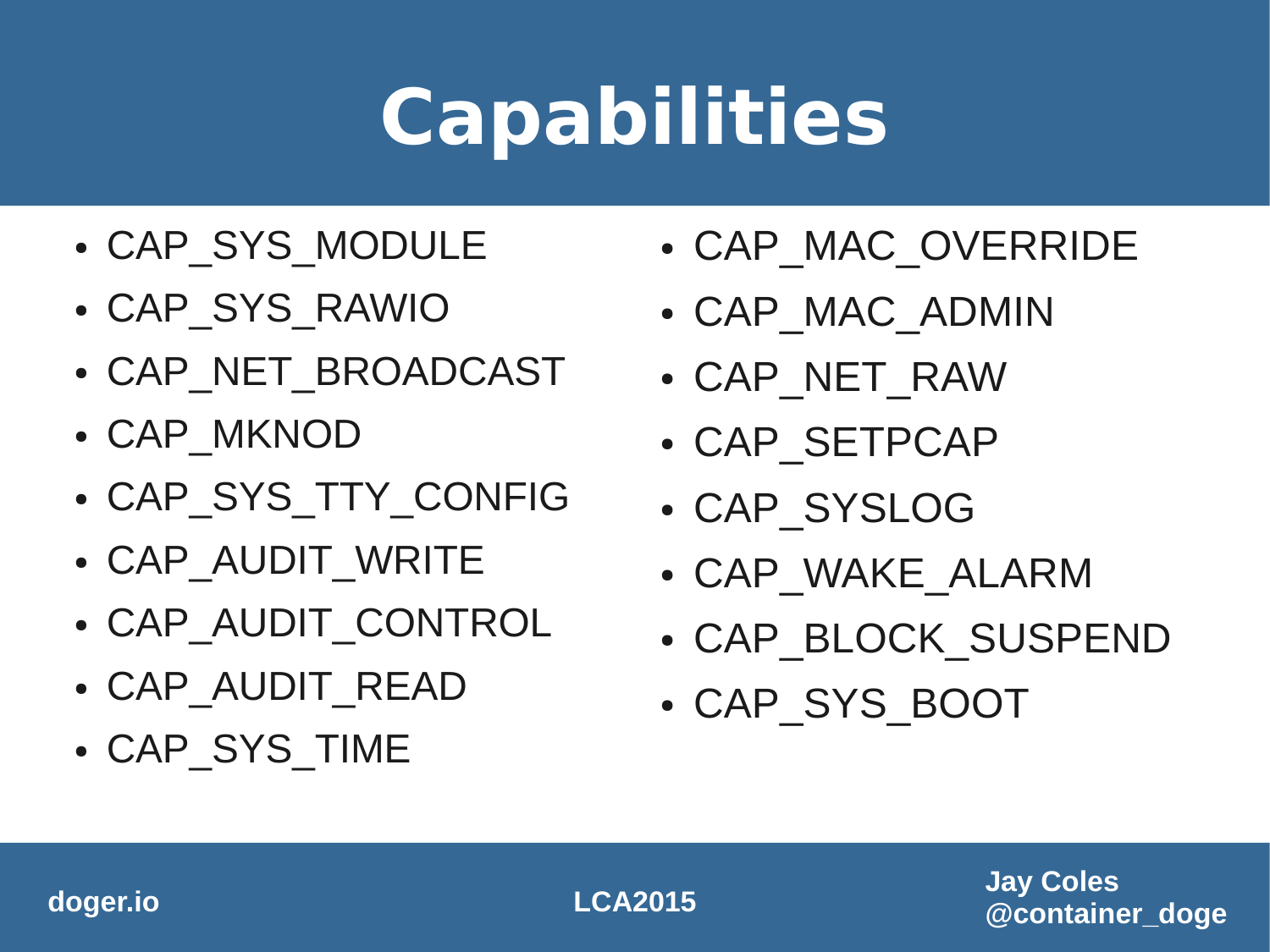- CAP SYS TIME
- CAP AUDIT READ
- CAP AUDIT CONTROL
- CAP AUDIT WRITE
- CAP SYS TTY CONFIG
- CAP MKNOD
- CAP\_NET\_BROADCAST
- CAP SYS\_RAWIO
- CAP SYS MODULE
- CAP SYS BOOT
- CAP BLOCK SUSPEND
- CAP WAKE ALARM
- CAP SYSLOG
- CAP SETPCAP
- CAP\_NET\_RAW
- CAP MAC ADMIN
- CAP MAC OVERRIDE

### **Capabilities**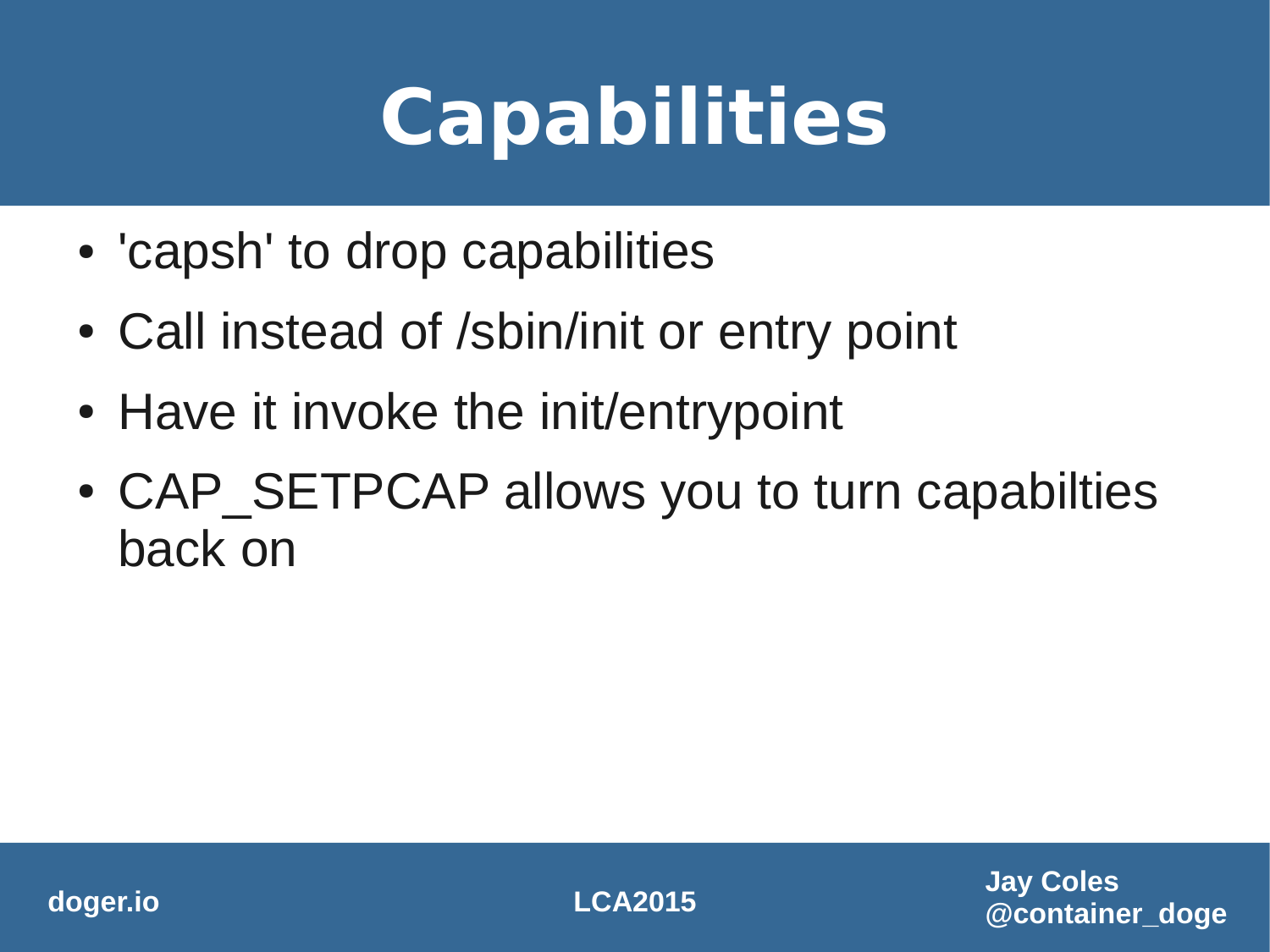## **Capabilities**

- 'capsh' to drop capabilities
- Call instead of /sbin/init or entry point
- Have it invoke the init/entrypoint
- CAP SETPCAP allows you to turn capabilties back on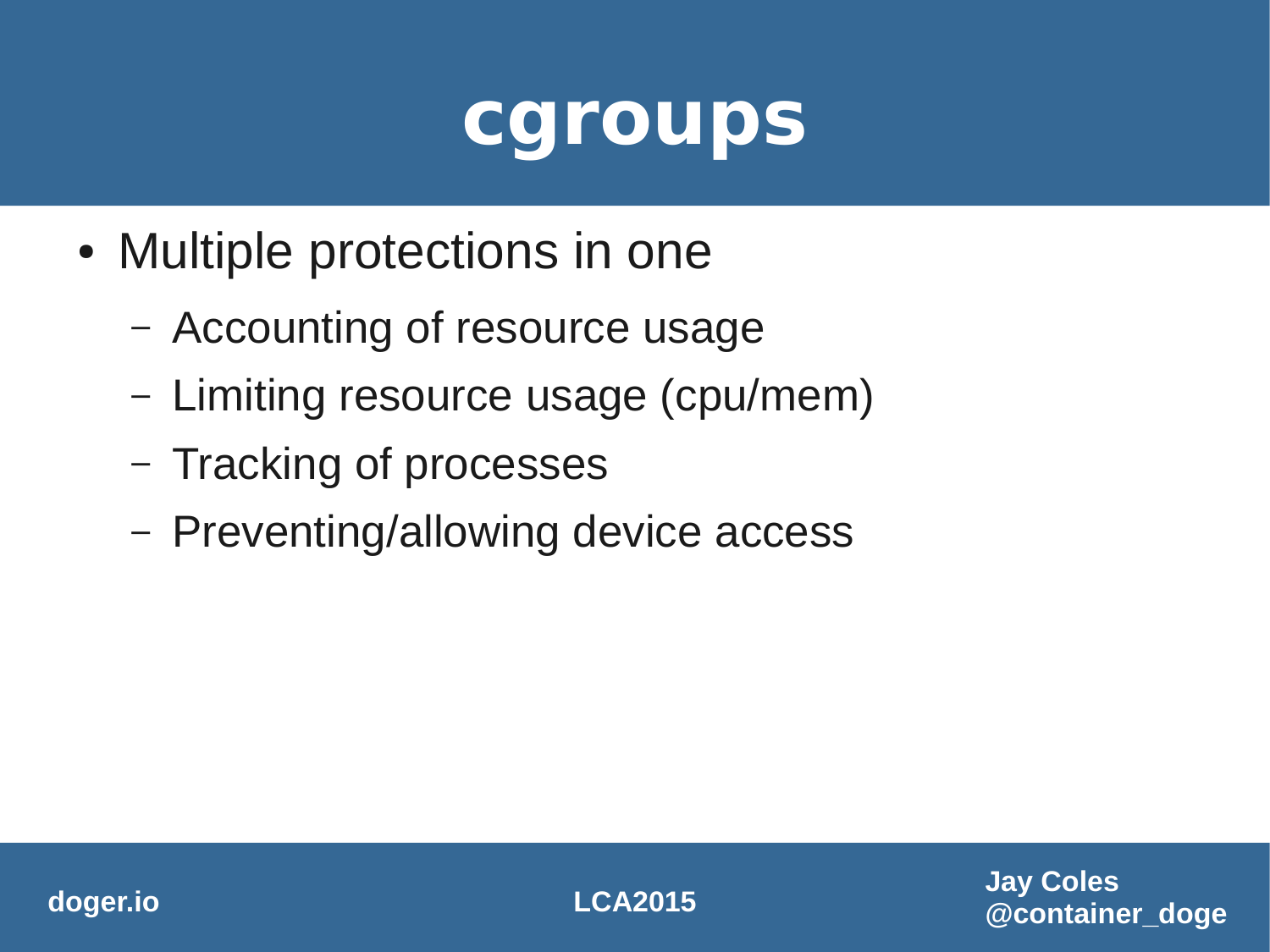#### **cgroups**

- Multiple protections in one
	- Accounting of resource usage
	- Limiting resource usage (cpu/mem)
	- Tracking of processes
	- Preventing/allowing device access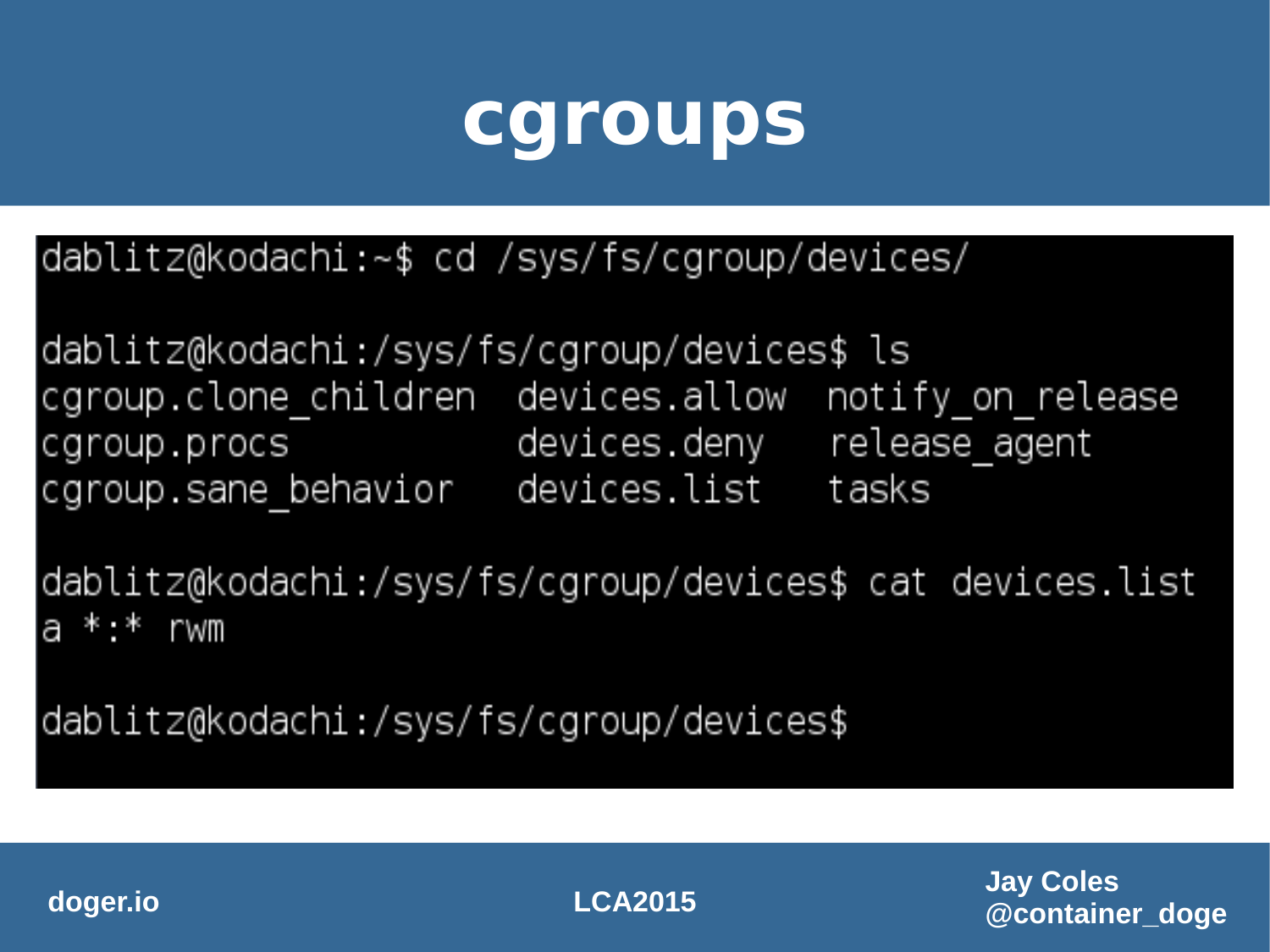#### **cgroups**

|dablitz@kodachi:~\$ cd /sys/fs/cgroup/devices/

dablitz@kodachi:/sys/fs/cgroup/devices\$ ls cgroup clone children devices allow notify on release devices.deny release agent cgroup procs cgroup sane behavior devices list tasks

dablitz@kodachi:/sys/fs/cgroup/devices\$ cat devices.list  $a * * r$  wm

dablitz@kodachi:/sys/fs/cgroup/devices\$

**doger.io LCA2015**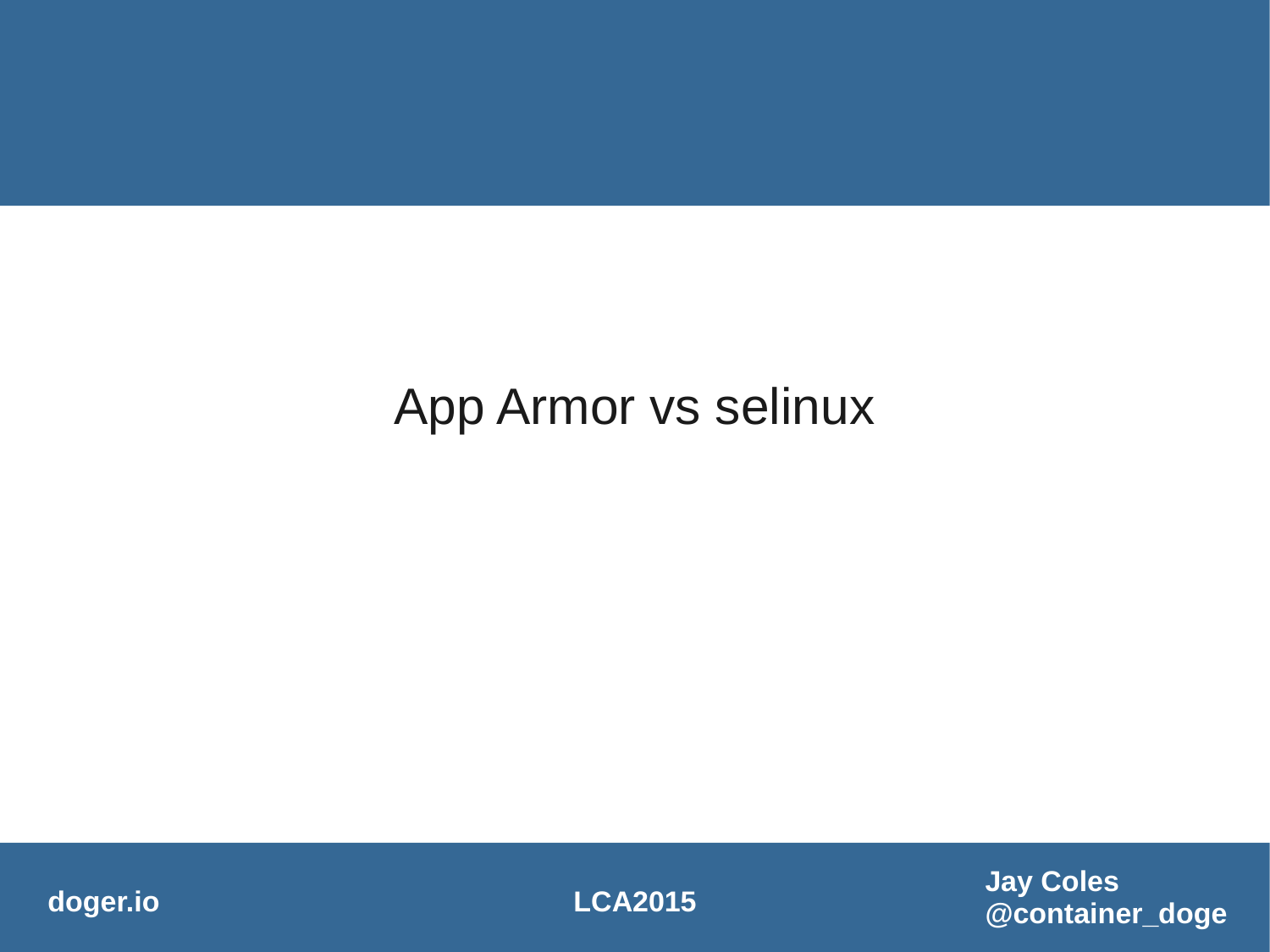#### App Armor vs selinux

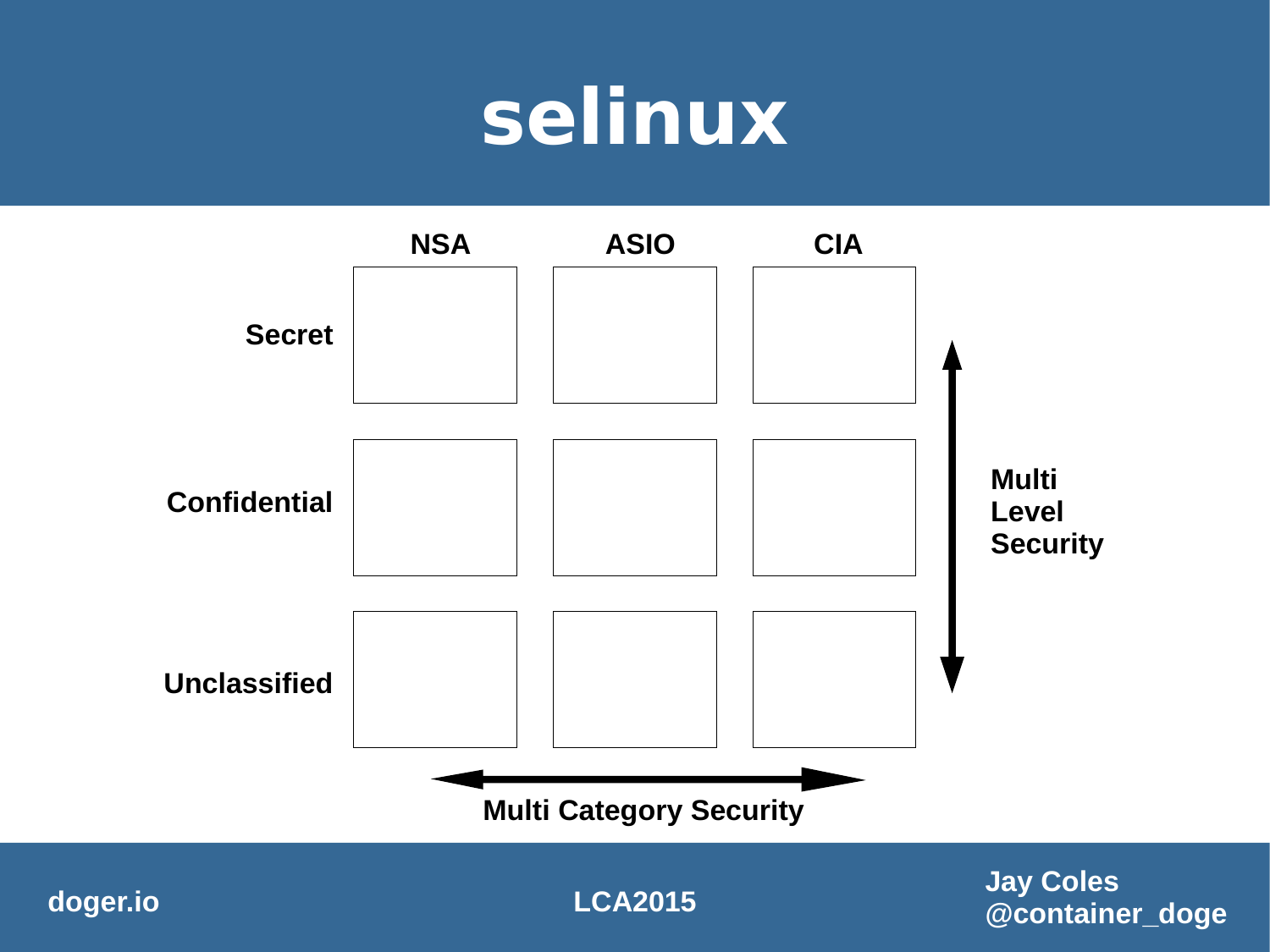#### **selinux**



**@container\_doge**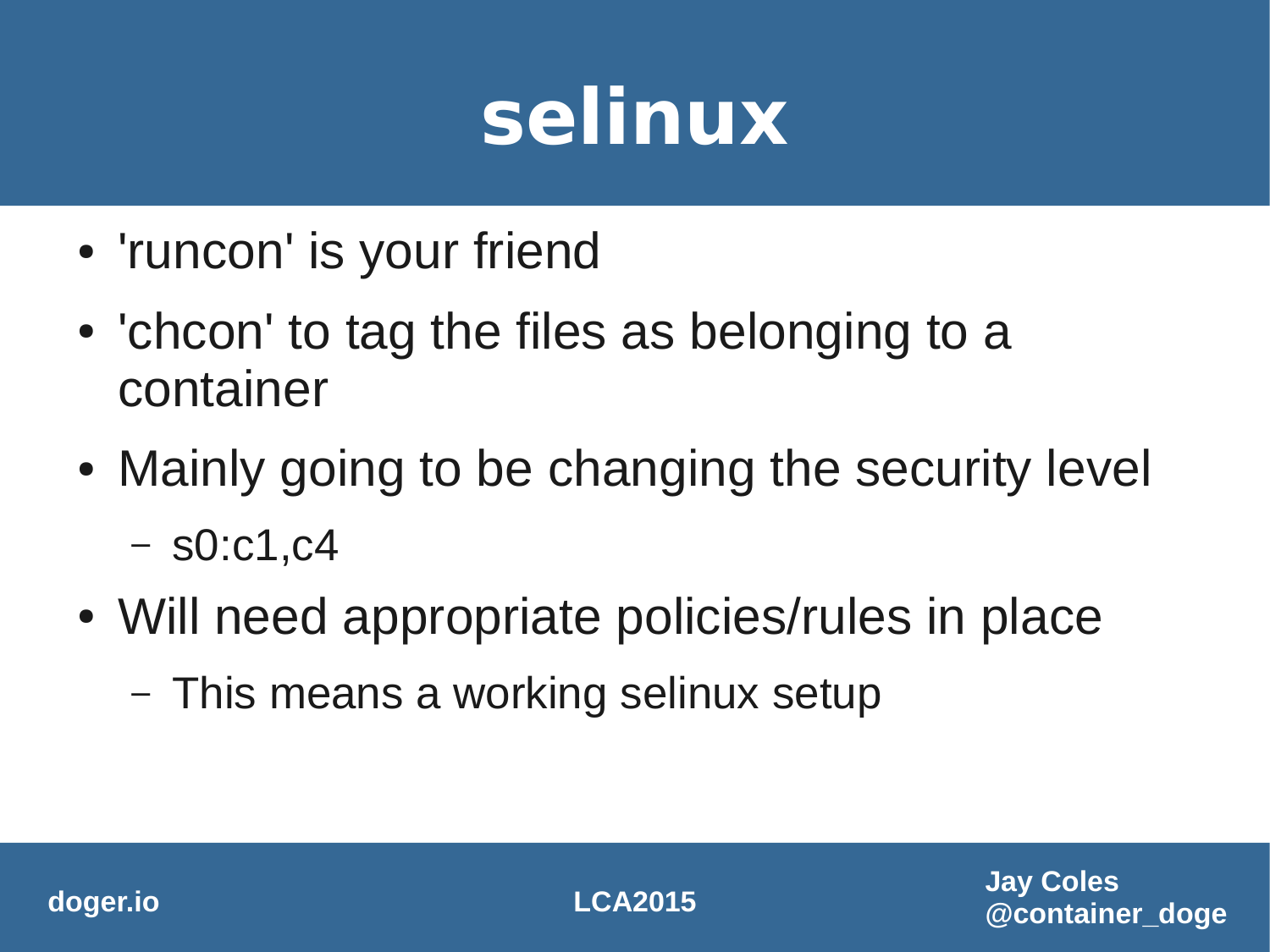### **selinux**

- 'runcon' is your friend
- 'chcon' to tag the files as belonging to a container
- Mainly going to be changing the security level  $-$  s0:c1,c4
- Will need appropriate policies/rules in place
	- This means a working selinux setup

**doger.io LCA2015**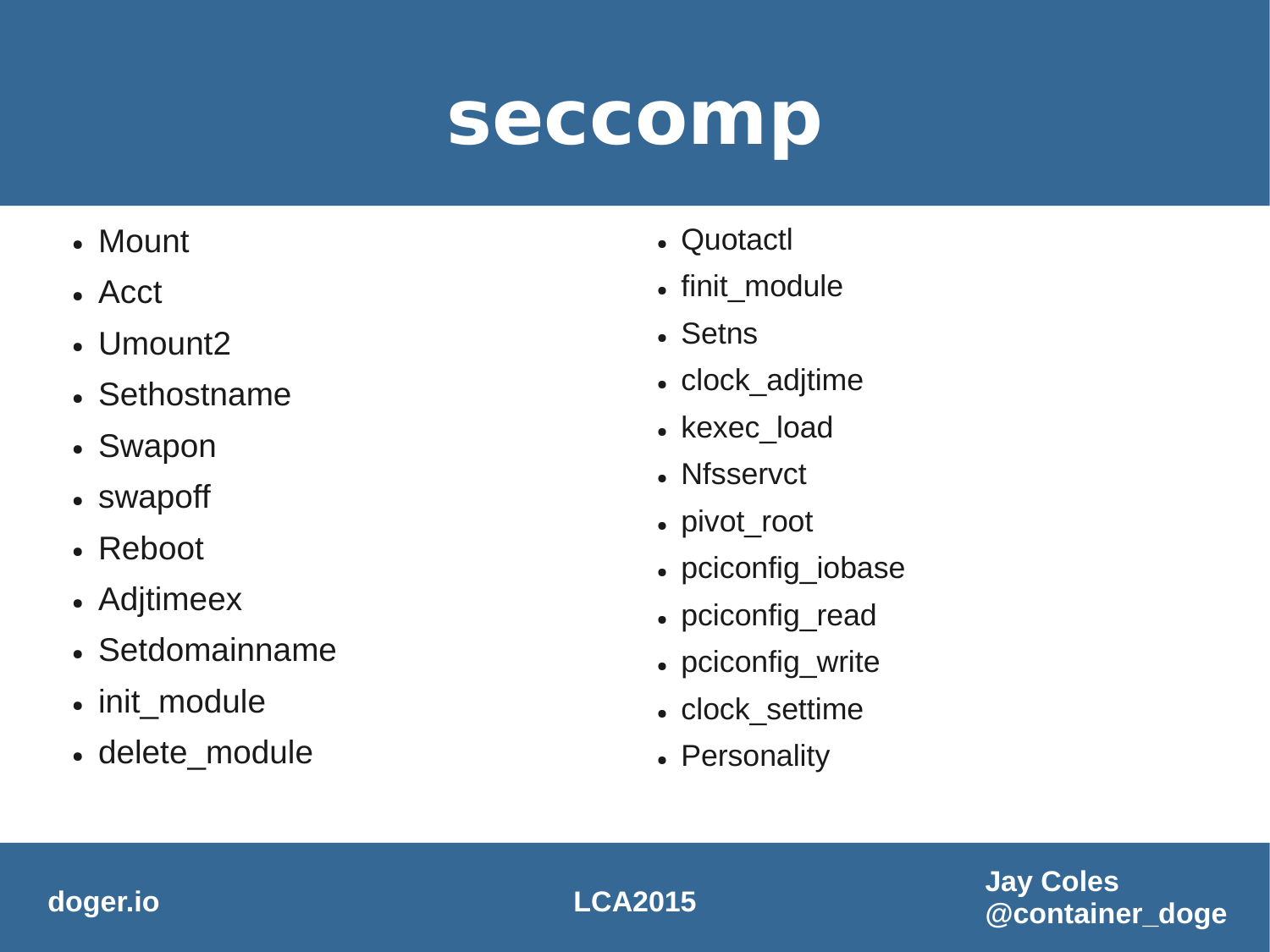#### **seccomp**

- Mount
- Acct
- Umount2
- Sethostname
- Swapon
- swapoff
- $\cdot$  Reboot
- Adjtimeex
- Setdomainname
- init\_module
- delete\_module
- Quotactl
- finit\_module
- Setns
- clock\_adjtime
- kexec load
- Nfsservct
- pivot\_root
- pciconfig\_iobase
- pciconfig\_read
- pciconfig\_write
- clock\_settime
- Personality

**Jay Coles @container\_doge**

#### **doger.io LCA2015**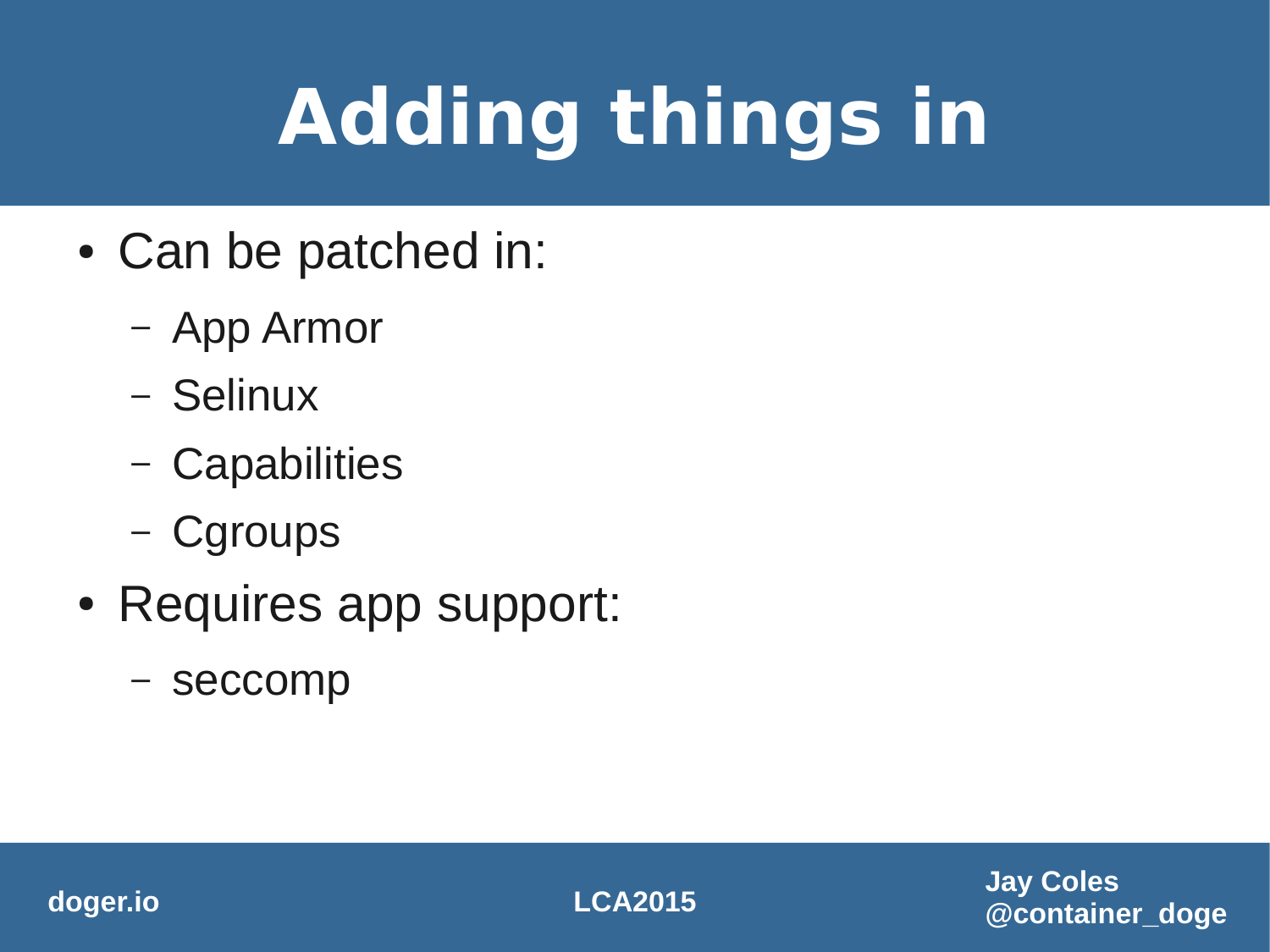# **Adding things in**

- Can be patched in:
	- App Armor
	- Selinux
	- Capabilities
	- Cgroups
- Requires app support:
	- seccomp

**doger.io LCA2015**